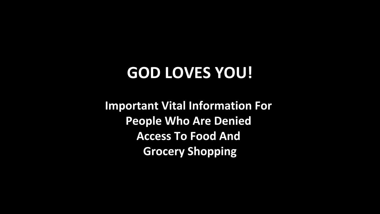# **GOD LOVES YOU!**

**Important Vital Information For People Who Are Denied Access To Food And Grocery Shopping**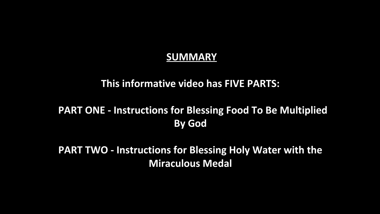### **SUMMARY**

### **This informative video has FIVE PARTS:**

### **PART ONE - Instructions for Blessing Food To Be Multiplied By God**

**PART TWO - Instructions for Blessing Holy Water with the Miraculous Medal**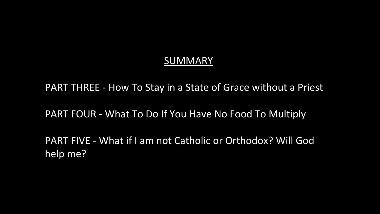### **SUMMARY**

PART THREE - How To Stay in a State of Grace without a Priest

PART FOUR - What To Do If You Have No Food To Multiply

PART FIVE - What if I am not Catholic or Orthodox? Will God help me?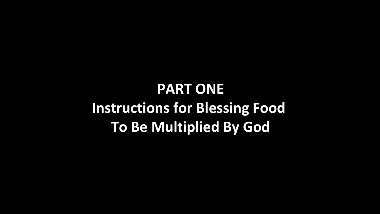# **PART ONE Instructions for Blessing Food To Be Multiplied By God**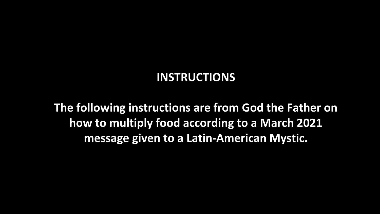### **INSTRUCTIONS**

**The following instructions are from God the Father on how to multiply food according to a March 2021 message given to a Latin-American Mystic.**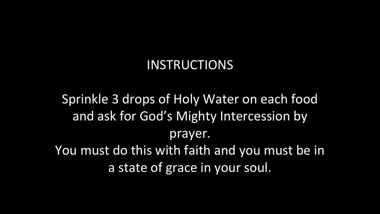## INSTRUCTIONS

Sprinkle 3 drops of Holy Water on each food and ask for God's Mighty Intercession by prayer. You must do this with faith and you must be in a state of grace in your soul.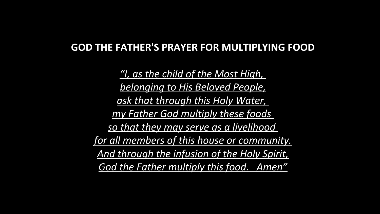### **GOD THE FATHER'S PRAYER FOR MULTIPLYING FOOD**

*"I, as the child of the Most High, belonging to His Beloved People, ask that through this Holy Water, my Father God multiply these foods so that they may serve as a livelihood for all members of this house or community. And through the infusion of the Holy Spirit, God the Father multiply this food. Amen"*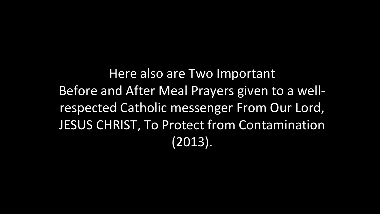Here also are Two Important Before and After Meal Prayers given to a wellrespected Catholic messenger From Our Lord, JESUS CHRIST, To Protect from Contamination (2013).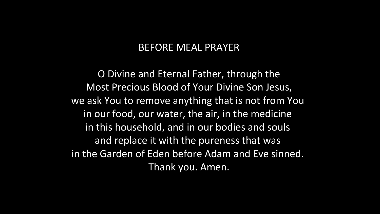### BEFORE MEAL PRAYER

O Divine and Eternal Father, through the Most Precious Blood of Your Divine Son Jesus, we ask You to remove anything that is not from You in our food, our water, the air, in the medicine in this household, and in our bodies and souls and replace it with the pureness that was in the Garden of Eden before Adam and Eve sinned. Thank you. Amen.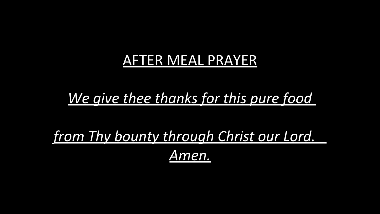## AFTER MEAL PRAYER

## *We give thee thanks for this pure food*

*from Thy bounty through Christ our Lord. Amen.*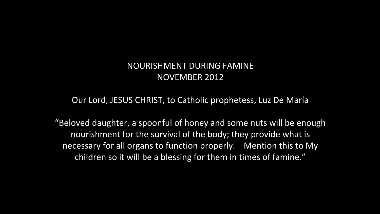### NOURISHMENT DURING FAMINE NOVEMBER 2012

#### Our Lord, JESUS CHRIST, to Catholic prophetess, Luz De María

"Beloved daughter, a spoonful of honey and some nuts will be enough nourishment for the survival of the body; they provide what is necessary for all organs to function properly. Mention this to My children so it will be a blessing for them in times of famine."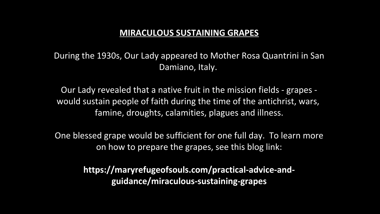#### **MIRACULOUS SUSTAINING GRAPES**

During the 1930s, Our Lady appeared to Mother Rosa Quantrini in San Damiano, Italy.

Our Lady revealed that a native fruit in the mission fields - grapes would sustain people of faith during the time of the antichrist, wars, famine, droughts, calamities, plagues and illness.

One blessed grape would be sufficient for one full day. To learn more on how to prepare the grapes, see this blog link:

> **https://maryrefugeofsouls.com/practical-advice-andguidance/miraculous-sustaining-grapes**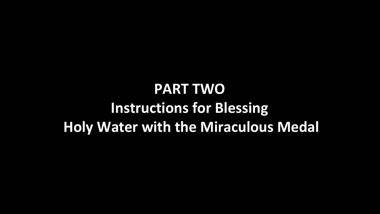# **PART TWO Instructions for Blessing Holy Water with the Miraculous Medal**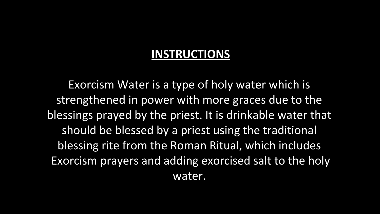### **INSTRUCTIONS**

Exorcism Water is a type of holy water which is strengthened in power with more graces due to the blessings prayed by the priest. It is drinkable water that should be blessed by a priest using the traditional blessing rite from the Roman Ritual, which includes Exorcism prayers and adding exorcised salt to the holy water.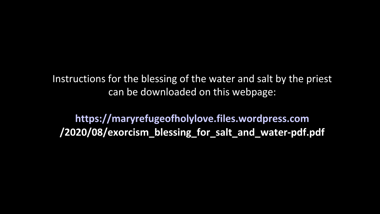Instructions for the blessing of the water and salt by the priest can be downloaded on this webpage:

**[https://maryrefugeofholylove.files.wordpress.com](https://maryrefugeofholylove.files.wordpress.com/) /2020/08/exorcism\_blessing\_for\_salt\_and\_water-pdf.pdf**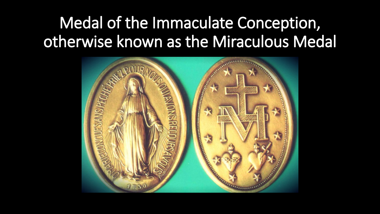# Medal of the Immaculate Conception, otherwise known as the Miraculous Medal

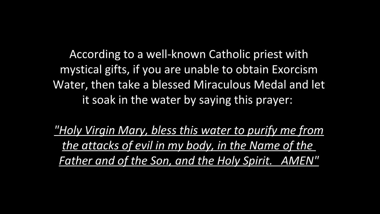According to a well-known Catholic priest with mystical gifts, if you are unable to obtain Exorcism Water, then take a blessed Miraculous Medal and let it soak in the water by saying this prayer:

*"Holy Virgin Mary, bless this water to purify me from the attacks of evil in my body, in the Name of the Father and of the Son, and the Holy Spirit. AMEN"*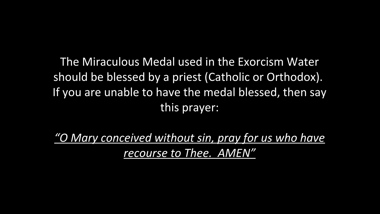The Miraculous Medal used in the Exorcism Water should be blessed by a priest (Catholic or Orthodox). If you are unable to have the medal blessed, then say this prayer:

*"O Mary conceived without sin, pray for us who have recourse to Thee. AMEN"*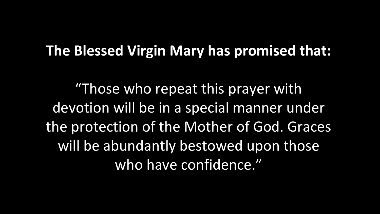## **The Blessed Virgin Mary has promised that:**

"Those who repeat this prayer with devotion will be in a special manner under the protection of the Mother of God. Graces will be abundantly bestowed upon those who have confidence."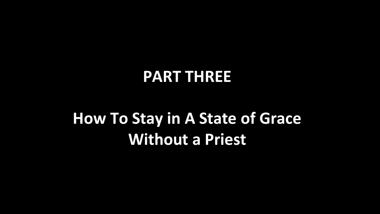# **PART THREE**

# **How To Stay in A State of Grace Without a Priest**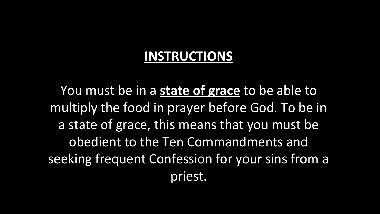## **INSTRUCTIONS**

You must be in a **state of grace** to be able to multiply the food in prayer before God. To be in a state of grace, this means that you must be obedient to the Ten Commandments and seeking frequent Confession for your sins from a priest.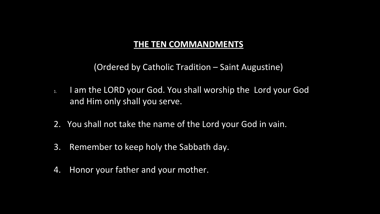#### **THE TEN COMMANDMENTS**

(Ordered by Catholic Tradition – Saint Augustine)

- 1. I am the LORD your God. You shall worship the Lord your God and Him only shall you serve.
- 2. You shall not take the name of the Lord your God in vain.
- 3. Remember to keep holy the Sabbath day.
- 4. Honor your father and your mother.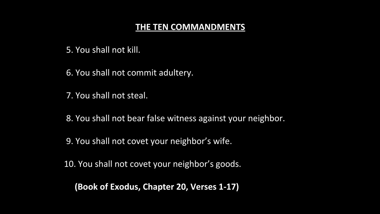#### **THE TEN COMMANDMENTS**

5. You shall not kill.

6. You shall not commit adultery.

7. You shall not steal.

- 8. You shall not bear false witness against your neighbor.
- 9. You shall not covet your neighbor's wife.
- 10. You shall not covet your neighbor's goods.

 **(Book of Exodus, Chapter 20, Verses 1-17)**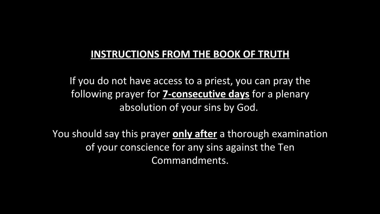### **INSTRUCTIONS FROM THE BOOK OF TRUTH**

If you do not have access to a priest, you can pray the following prayer for **7-consecutive days** for a plenary absolution of your sins by God.

You should say this prayer **only after** a thorough examination of your conscience for any sins against the Ten Commandments.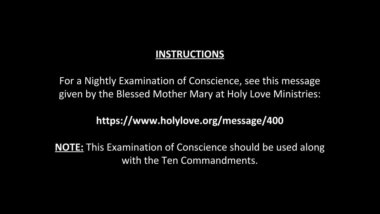### **INSTRUCTIONS**

For a Nightly Examination of Conscience, see this message given by the Blessed Mother Mary at Holy Love Ministries:

### **https://www.holylove.org/message/400**

**NOTE:** This Examination of Conscience should be used along with the Ten Commandments.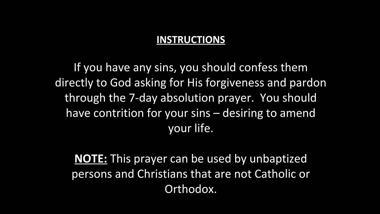### **INSTRUCTIONS**

If you have any sins, you should confess them directly to God asking for His forgiveness and pardon through the 7-day absolution prayer. You should have contrition for your sins – desiring to amend your life.

**NOTE:** This prayer can be used by unbaptized persons and Christians that are not Catholic or Orthodox.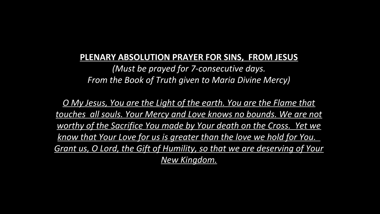#### **PLENARY ABSOLUTION PRAYER FOR SINS, FROM JESUS**

*(Must be prayed for 7-consecutive days. From the Book of Truth given to Maria Divine Mercy)*

*O My Jesus, You are the Light of the earth. You are the Flame that touches all souls. Your Mercy and Love knows no bounds. We are not worthy of the Sacrifice You made by Your death on the Cross. Yet we know that Your Love for us is greater than the love we hold for You. Grant us, O Lord, the Gift of Humility, so that we are deserving of Your New Kingdom.*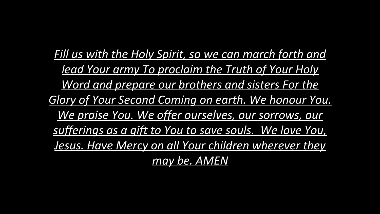*Fill us with the Holy Spirit, so we can march forth and lead Your army To proclaim the Truth of Your Holy Word and prepare our brothers and sisters For the Glory of Your Second Coming on earth. We honour You. We praise You. We offer ourselves, our sorrows, our sufferings as a gift to You to save souls. We love You, Jesus. Have Mercy on all Your children wherever they may be. AMEN*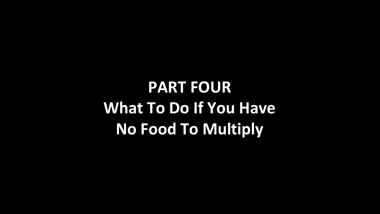**PART FOUR What To Do If You Have No Food To Multiply**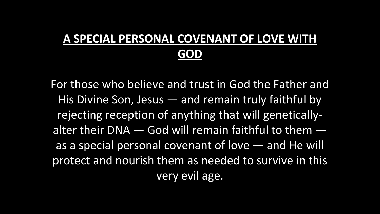## **A SPECIAL PERSONAL COVENANT OF LOVE WITH GOD**

For those who believe and trust in God the Father and His Divine Son, Jesus — and remain truly faithful by rejecting reception of anything that will geneticallyalter their DNA  $-$  God will remain faithful to them  $$ as a special personal covenant of love — and He will protect and nourish them as needed to survive in this very evil age.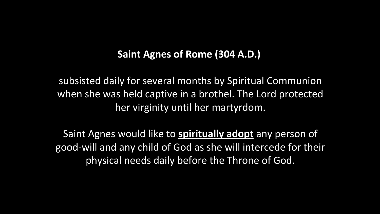### **Saint Agnes of Rome (304 A.D.)**

subsisted daily for several months by Spiritual Communion when she was held captive in a brothel. The Lord protected her virginity until her martyrdom.

Saint Agnes would like to **spiritually adopt** any person of good-will and any child of God as she will intercede for their physical needs daily before the Throne of God.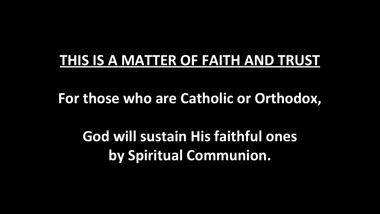## **THIS IS A MATTER OF FAITH AND TRUST**

**For those who are Catholic or Orthodox,**

**God will sustain His faithful ones by Spiritual Communion.**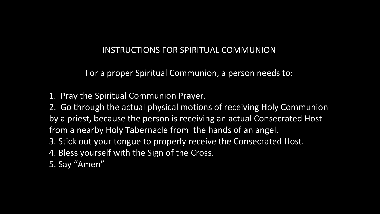#### INSTRUCTIONS FOR SPIRITUAL COMMUNION

For a proper Spiritual Communion, a person needs to:

1. Pray the Spiritual Communion Prayer.

2. Go through the actual physical motions of receiving Holy Communion by a priest, because the person is receiving an actual Consecrated Host from a nearby Holy Tabernacle from the hands of an angel.

- 3. Stick out your tongue to properly receive the Consecrated Host.
- 4. Bless yourself with the Sign of the Cross.
- 5. Say "Amen"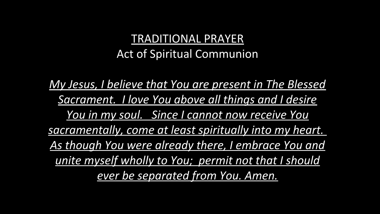### TRADITIONAL PRAYER Act of Spiritual Communion

*My Jesus, I believe that You are present in The Blessed Sacrament. I love You above all things and I desire You in my soul. Since I cannot now receive You sacramentally, come at least spiritually into my heart. As though You were already there, I embrace You and unite myself wholly to You; permit not that I should ever be separated from You. Amen.*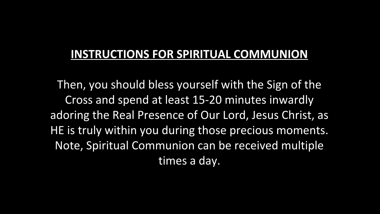### **INSTRUCTIONS FOR SPIRITUAL COMMUNION**

Then, you should bless yourself with the Sign of the Cross and spend at least 15-20 minutes inwardly adoring the Real Presence of Our Lord, Jesus Christ, as HE is truly within you during those precious moments. Note, Spiritual Communion can be received multiple times a day.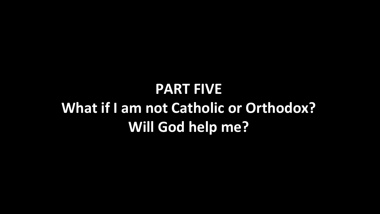# **PART FIVE What if I am not Catholic or Orthodox? Will God help me?**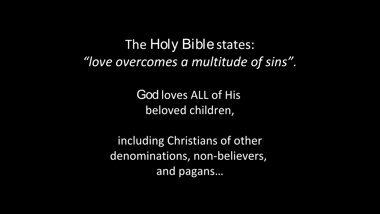## The Holy Bible states: *"love overcomes a multitude of sins".*

God loves ALL of His beloved children,

including Christians of other denominations, non-believers, and pagans…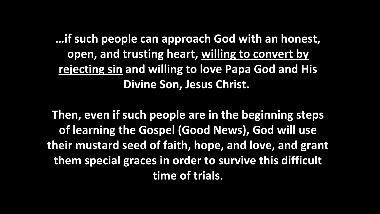**…if such people can approach God with an honest, open, and trusting heart, willing to convert by rejecting sin and willing to love Papa God and His Divine Son, Jesus Christ.** 

**Then, even if such people are in the beginning steps of learning the Gospel (Good News), God will use their mustard seed of faith, hope, and love, and grant them special graces in order to survive this difficult time of trials.**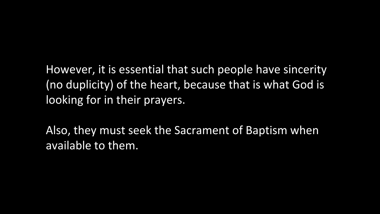However, it is essential that such people have sincerity (no duplicity) of the heart, because that is what God is looking for in their prayers.

Also, they must seek the Sacrament of Baptism when available to them.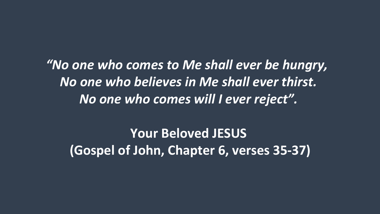*"No one who comes to Me shall ever be hungry, No one who believes in Me shall ever thirst. No one who comes will I ever reject".*

**Your Beloved JESUS (Gospel of John, Chapter 6, verses 35-37)**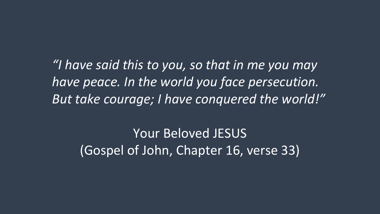*"I have said this to you, so that in me you may have peace. In the world you face persecution. But take courage; I have conquered the world!"*

Your Beloved JESUS (Gospel of John, Chapter 16, verse 33)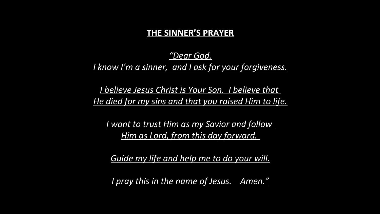#### **THE SINNER'S PRAYER**

### *"Dear God, I know I'm a sinner, and I ask for your forgiveness.*

*I believe Jesus Christ is Your Son. I believe that He died for my sins and that you raised Him to life.*

*I want to trust Him as my Savior and follow Him as Lord, from this day forward.* 

*Guide my life and help me to do your will.*

*I pray this in the name of Jesus. Amen."*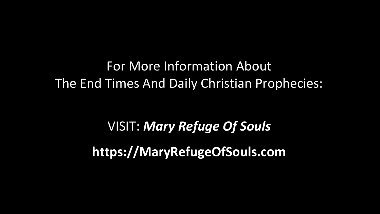For More Information About The End Times And Daily Christian Prophecies:

> VISIT: *Mary Refuge Of Souls* **https://MaryRefugeOfSouls.com**